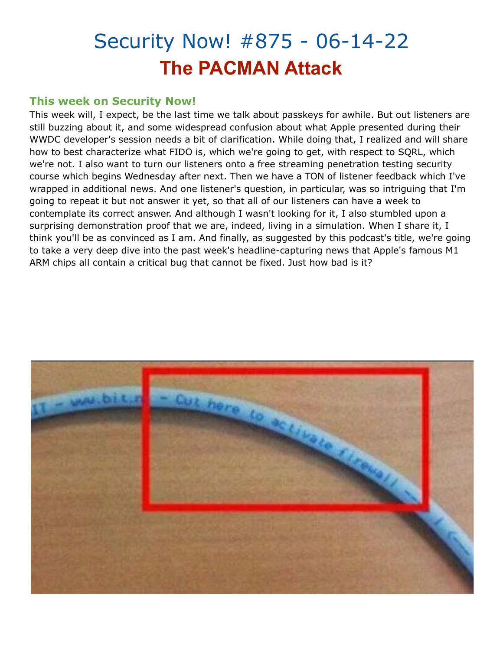# Security Now! #875 - 06-14-22 **The PACMAN Attack**

## **This week on Security Now!**

This week will, I expect, be the last time we talk about passkeys for awhile. But out listeners are still buzzing about it, and some widespread confusion about what Apple presented during their WWDC developer's session needs a bit of clarification. While doing that, I realized and will share how to best characterize what FIDO is, which we're going to get, with respect to SQRL, which we're not. I also want to turn our listeners onto a free streaming penetration testing security course which begins Wednesday after next. Then we have a TON of listener feedback which I've wrapped in additional news. And one listener's question, in particular, was so intriguing that I'm going to repeat it but not answer it yet, so that all of our listeners can have a week to contemplate its correct answer. And although I wasn't looking for it, I also stumbled upon a surprising demonstration proof that we are, indeed, living in a simulation. When I share it, I think you'll be as convinced as I am. And finally, as suggested by this podcast's title, we're going to take a very deep dive into the past week's headline-capturing news that Apple's famous M1 ARM chips all contain a critical bug that cannot be fixed. Just how bad is it?

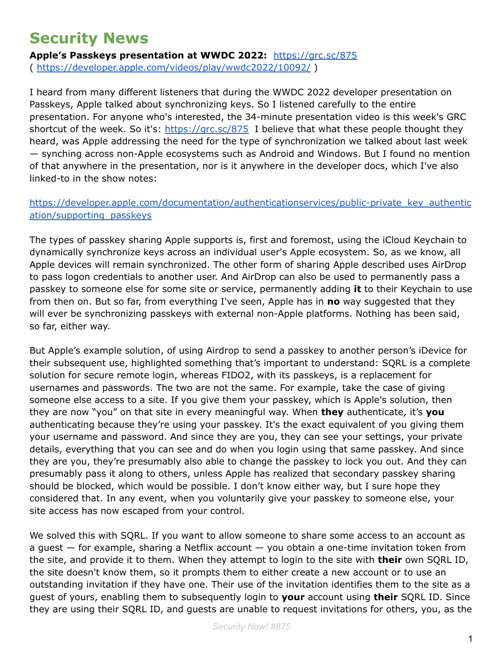# **Security News**

**Apple's Passkeys presentation at WWDC 2022:** <https://grc.sc/875> ( <https://developer.apple.com/videos/play/wwdc2022/10092/> )

I heard from many different listeners that during the WWDC 2022 developer presentation on Passkeys, Apple talked about synchronizing keys. So I listened carefully to the entire presentation. For anyone who's interested, the 34-minute presentation video is this week's GRC shortcut of the week. So it's: <https://grc.sc/875> I believe that what these people thought they heard, was Apple addressing the need for the type of synchronization we talked about last week — synching across non-Apple ecosystems such as Android and Windows. But I found no mention of that anywhere in the presentation, nor is it anywhere in the developer docs, which I've also linked-to in the show notes:

### [https://developer.apple.com/documentation/authenticationservices/public-private\\_key\\_authentic](https://developer.apple.com/documentation/authenticationservices/public-private_key_authentication/supporting_passkeys) [ation/supporting\\_passkeys](https://developer.apple.com/documentation/authenticationservices/public-private_key_authentication/supporting_passkeys)

The types of passkey sharing Apple supports is, first and foremost, using the iCloud Keychain to dynamically synchronize keys across an individual user's Apple ecosystem. So, as we know, all Apple devices will remain synchronized. The other form of sharing Apple described uses AirDrop to pass logon credentials to another user. And AirDrop can also be used to permanently pass a passkey to someone else for some site or service, permanently adding **it** to their Keychain to use from then on. But so far, from everything I've seen, Apple has in **no** way suggested that they will ever be synchronizing passkeys with external non-Apple platforms. Nothing has been said, so far, either way.

But Apple's example solution, of using Airdrop to send a passkey to another person's iDevice for their subsequent use, highlighted something that's important to understand: SQRL is a complete solution for secure remote login, whereas FIDO2, with its passkeys, is a replacement for usernames and passwords. The two are not the same. For example, take the case of giving someone else access to a site. If you give them your passkey, which is Apple's solution, then they are now "you" on that site in every meaningful way. When **they** authenticate, it's **you** authenticating because they're using your passkey. It's the exact equivalent of you giving them your username and password. And since they are you, they can see your settings, your private details, everything that you can see and do when you login using that same passkey. And since they are you, they're presumably also able to change the passkey to lock you out. And they can presumably pass it along to others, unless Apple has realized that secondary passkey sharing should be blocked, which would be possible. I don't know either way, but I sure hope they considered that. In any event, when you voluntarily give your passkey to someone else, your site access has now escaped from your control.

We solved this with SQRL. If you want to allow someone to share some access to an account as a guest — for example, sharing a Netflix account — you obtain a one-time invitation token from the site, and provide it to them. When they attempt to login to the site with **their** own SQRL ID, the site doesn't know them, so it prompts them to either create a new account or to use an outstanding invitation if they have one. Their use of the invitation identifies them to the site as a guest of yours, enabling them to subsequently login to **your** account using **their** SQRL ID. Since they are using their SQRL ID, and guests are unable to request invitations for others, you, as the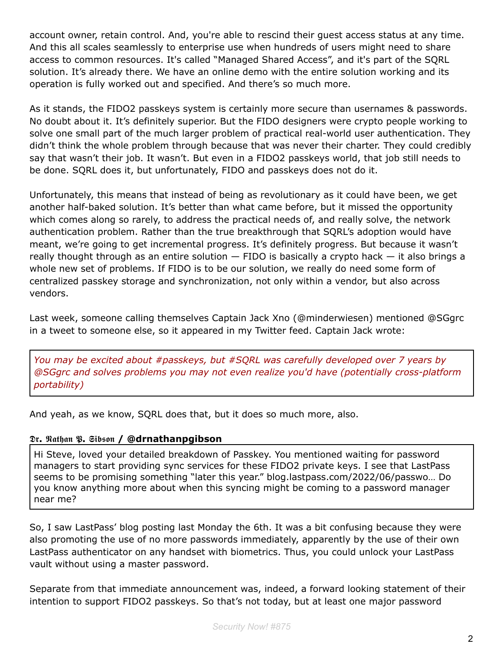account owner, retain control. And, you're able to rescind their guest access status at any time. And this all scales seamlessly to enterprise use when hundreds of users might need to share access to common resources. It's called "Managed Shared Access", and it's part of the SQRL solution. It's already there. We have an online demo with the entire solution working and its operation is fully worked out and specified. And there's so much more.

As it stands, the FIDO2 passkeys system is certainly more secure than usernames & passwords. No doubt about it. It's definitely superior. But the FIDO designers were crypto people working to solve one small part of the much larger problem of practical real-world user authentication. They didn't think the whole problem through because that was never their charter. They could credibly say that wasn't their job. It wasn't. But even in a FIDO2 passkeys world, that job still needs to be done. SQRL does it, but unfortunately, FIDO and passkeys does not do it.

Unfortunately, this means that instead of being as revolutionary as it could have been, we get another half-baked solution. It's better than what came before, but it missed the opportunity which comes along so rarely, to address the practical needs of, and really solve, the network authentication problem. Rather than the true breakthrough that SQRL's adoption would have meant, we're going to get incremental progress. It's definitely progress. But because it wasn't really thought through as an entire solution  $-$  FIDO is basically a crypto hack  $-$  it also brings a whole new set of problems. If FIDO is to be our solution, we really do need some form of centralized passkey storage and synchronization, not only within a vendor, but also across vendors.

Last week, someone calling themselves Captain Jack Xno (@minderwiesen) mentioned @SGgrc in a tweet to someone else, so it appeared in my Twitter feed. Captain Jack wrote:

*You may be excited about #passkeys, but #SQRL was carefully developed over 7 years by @SGgrc and solves problems you may not even realize you'd have (potentially cross-platform portability)*

And yeah, as we know, SQRL does that, but it does so much more, also.

#### **. . / @drnathanpgibson**

Hi Steve, loved your detailed breakdown of Passkey. You mentioned waiting for password managers to start providing sync services for these FIDO2 private keys. I see that LastPass seems to be promising something "later this year." blog.lastpass.com/2022/06/passwo… Do you know anything more about when this syncing might be coming to a password manager near me?

So, I saw LastPass' blog posting last Monday the 6th. It was a bit confusing because they were also promoting the use of no more passwords immediately, apparently by the use of their own LastPass authenticator on any handset with biometrics. Thus, you could unlock your LastPass vault without using a master password.

Separate from that immediate announcement was, indeed, a forward looking statement of their intention to support FIDO2 passkeys. So that's not today, but at least one major password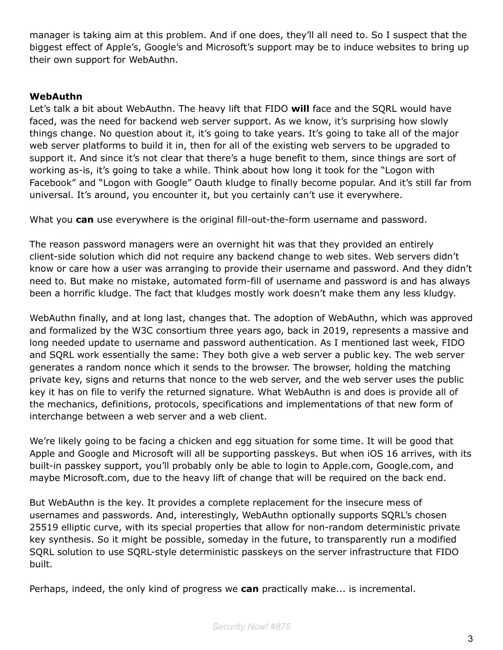manager is taking aim at this problem. And if one does, they'll all need to. So I suspect that the biggest effect of Apple's, Google's and Microsoft's support may be to induce websites to bring up their own support for WebAuthn.

#### **WebAuthn**

Let's talk a bit about WebAuthn. The heavy lift that FIDO **will** face and the SQRL would have faced, was the need for backend web server support. As we know, it's surprising how slowly things change. No question about it, it's going to take years. It's going to take all of the major web server platforms to build it in, then for all of the existing web servers to be upgraded to support it. And since it's not clear that there's a huge benefit to them, since things are sort of working as-is, it's going to take a while. Think about how long it took for the "Logon with Facebook" and "Logon with Google" Oauth kludge to finally become popular. And it's still far from universal. It's around, you encounter it, but you certainly can't use it everywhere.

What you **can** use everywhere is the original fill-out-the-form username and password.

The reason password managers were an overnight hit was that they provided an entirely client-side solution which did not require any backend change to web sites. Web servers didn't know or care how a user was arranging to provide their username and password. And they didn't need to. But make no mistake, automated form-fill of username and password is and has always been a horrific kludge. The fact that kludges mostly work doesn't make them any less kludgy.

WebAuthn finally, and at long last, changes that. The adoption of WebAuthn, which was approved and formalized by the W3C consortium three years ago, back in 2019, represents a massive and long needed update to username and password authentication. As I mentioned last week, FIDO and SQRL work essentially the same: They both give a web server a public key. The web server generates a random nonce which it sends to the browser. The browser, holding the matching private key, signs and returns that nonce to the web server, and the web server uses the public key it has on file to verify the returned signature. What WebAuthn is and does is provide all of the mechanics, definitions, protocols, specifications and implementations of that new form of interchange between a web server and a web client.

We're likely going to be facing a chicken and egg situation for some time. It will be good that Apple and Google and Microsoft will all be supporting passkeys. But when iOS 16 arrives, with its built-in passkey support, you'll probably only be able to login to Apple.com, Google.com, and maybe Microsoft.com, due to the heavy lift of change that will be required on the back end.

But WebAuthn is the key. It provides a complete replacement for the insecure mess of usernames and passwords. And, interestingly, WebAuthn optionally supports SQRL's chosen 25519 elliptic curve, with its special properties that allow for non-random deterministic private key synthesis. So it might be possible, someday in the future, to transparently run a modified SQRL solution to use SQRL-style deterministic passkeys on the server infrastructure that FIDO built.

Perhaps, indeed, the only kind of progress we **can** practically make... is incremental.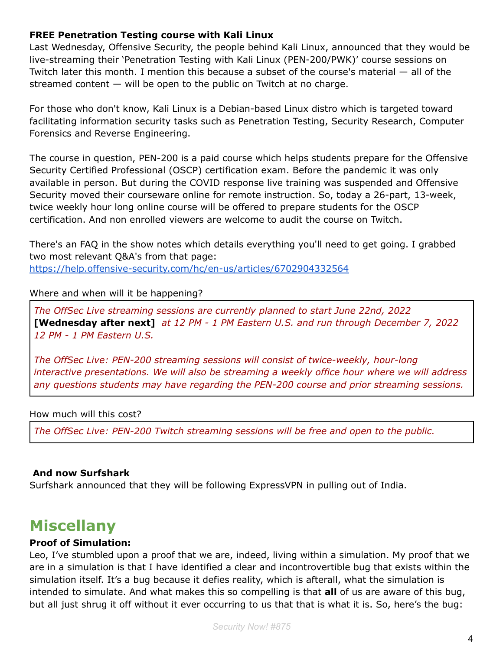#### **FREE Penetration Testing course with Kali Linux**

Last Wednesday, Offensive Security, the people behind Kali Linux, announced that they would be live-streaming their 'Penetration Testing with Kali Linux (PEN-200/PWK)' course sessions on Twitch later this month. I mention this because a subset of the course's material — all of the streamed content — will be open to the public on Twitch at no charge.

For those who don't know, Kali Linux is a Debian-based Linux distro which is targeted toward facilitating information security tasks such as Penetration Testing, Security Research, Computer Forensics and Reverse Engineering.

The course in question, PEN-200 is a paid course which helps students prepare for the Offensive Security Certified Professional (OSCP) certification exam. Before the pandemic it was only available in person. But during the COVID response live training was suspended and Offensive Security moved their courseware online for remote instruction. So, today a 26-part, 13-week, twice weekly hour long online course will be offered to prepare students for the OSCP certification. And non enrolled viewers are welcome to audit the course on Twitch.

There's an FAQ in the show notes which details everything you'll need to get going. I grabbed two most relevant Q&A's from that page:

<https://help.offensive-security.com/hc/en-us/articles/6702904332564>

#### Where and when will it be happening?

*The OffSec Live streaming sessions are currently planned to start June 22nd, 2022* **[Wednesday after next]** *at 12 PM - 1 PM Eastern U.S. and run through December 7, 2022 12 PM - 1 PM Eastern U.S.*

*The OffSec Live: PEN-200 streaming sessions will consist of twice-weekly, hour-long interactive presentations. We will also be streaming a weekly office hour where we will address any questions students may have regarding the PEN-200 course and prior streaming sessions.*

#### How much will this cost?

*The OffSec Live: PEN-200 Twitch streaming sessions will be free and open to the public.*

## **And now Surfshark**

Surfshark announced that they will be following ExpressVPN in pulling out of India.

# **Miscellany**

#### **Proof of Simulation:**

Leo, I've stumbled upon a proof that we are, indeed, living within a simulation. My proof that we are in a simulation is that I have identified a clear and incontrovertible bug that exists within the simulation itself. It's a bug because it defies reality, which is afterall, what the simulation is intended to simulate. And what makes this so compelling is that **all** of us are aware of this bug, but all just shrug it off without it ever occurring to us that that is what it is. So, here's the bug: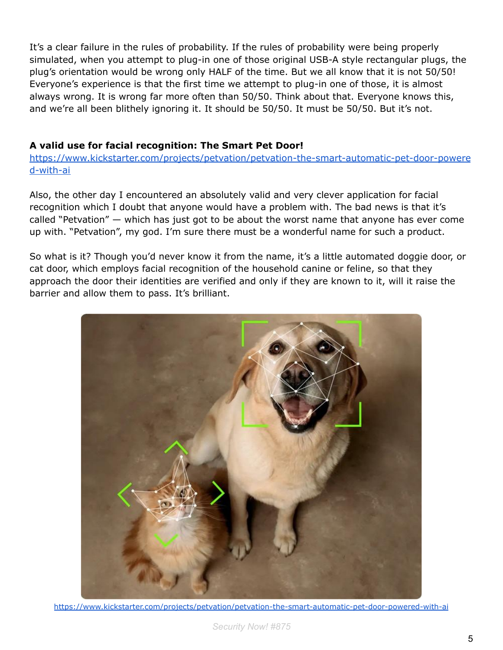It's a clear failure in the rules of probability. If the rules of probability were being properly simulated, when you attempt to plug-in one of those original USB-A style rectangular plugs, the plug's orientation would be wrong only HALF of the time. But we all know that it is not 50/50! Everyone's experience is that the first time we attempt to plug-in one of those, it is almost always wrong. It is wrong far more often than 50/50. Think about that. Everyone knows this, and we're all been blithely ignoring it. It should be 50/50. It must be 50/50. But it's not.

#### **A valid use for facial recognition: The Smart Pet Door!**

[https://www.kickstarter.com/projects/petvation/petvation-the-smart-automatic-pet-door-powere](https://www.kickstarter.com/projects/petvation/petvation-the-smart-automatic-pet-door-powered-with-ai) [d-with-ai](https://www.kickstarter.com/projects/petvation/petvation-the-smart-automatic-pet-door-powered-with-ai)

Also, the other day I encountered an absolutely valid and very clever application for facial recognition which I doubt that anyone would have a problem with. The bad news is that it's called "Petvation" — which has just got to be about the worst name that anyone has ever come up with. "Petvation", my god. I'm sure there must be a wonderful name for such a product.

So what is it? Though you'd never know it from the name, it's a little automated doggie door, or cat door, which employs facial recognition of the household canine or feline, so that they approach the door their identities are verified and only if they are known to it, will it raise the barrier and allow them to pass. It's brilliant.



<https://www.kickstarter.com/projects/petvation/petvation-the-smart-automatic-pet-door-powered-with-ai>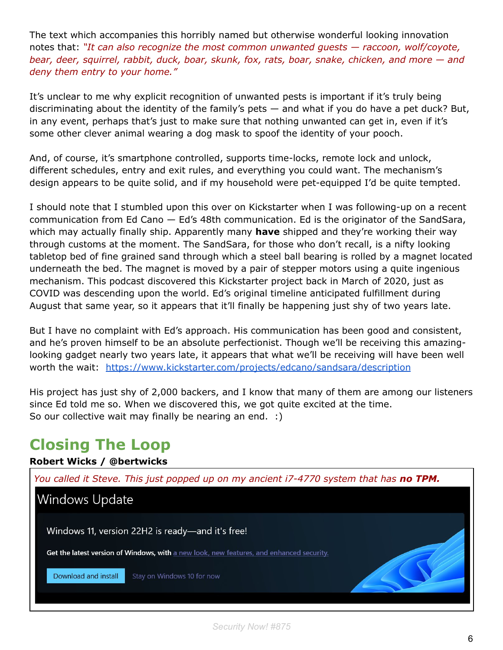The text which accompanies this horribly named but otherwise wonderful looking innovation notes that: *"It can also recognize the most common unwanted guests — raccoon, wolf/coyote, bear, deer, squirrel, rabbit, duck, boar, skunk, fox, rats, boar, snake, chicken, and more — and deny them entry to your home."*

It's unclear to me why explicit recognition of unwanted pests is important if it's truly being discriminating about the identity of the family's pets  $-$  and what if you do have a pet duck? But, in any event, perhaps that's just to make sure that nothing unwanted can get in, even if it's some other clever animal wearing a dog mask to spoof the identity of your pooch.

And, of course, it's smartphone controlled, supports time-locks, remote lock and unlock, different schedules, entry and exit rules, and everything you could want. The mechanism's design appears to be quite solid, and if my household were pet-equipped I'd be quite tempted.

I should note that I stumbled upon this over on Kickstarter when I was following-up on a recent communication from Ed Cano — Ed's 48th communication. Ed is the originator of the SandSara, which may actually finally ship. Apparently many **have** shipped and they're working their way through customs at the moment. The SandSara, for those who don't recall, is a nifty looking tabletop bed of fine grained sand through which a steel ball bearing is rolled by a magnet located underneath the bed. The magnet is moved by a pair of stepper motors using a quite ingenious mechanism. This podcast discovered this Kickstarter project back in March of 2020, just as COVID was descending upon the world. Ed's original timeline anticipated fulfillment during August that same year, so it appears that it'll finally be happening just shy of two years late.

But I have no complaint with Ed's approach. His communication has been good and consistent, and he's proven himself to be an absolute perfectionist. Though we'll be receiving this amazinglooking gadget nearly two years late, it appears that what we'll be receiving will have been well worth the wait: <https://www.kickstarter.com/projects/edcano/sandsara/description>

His project has just shy of 2,000 backers, and I know that many of them are among our listeners since Ed told me so. When we discovered this, we got quite excited at the time. So our collective wait may finally be nearing an end. :)

# **Closing The Loop**

## **Robert Wicks / @bertwicks**

![](_page_6_Picture_8.jpeg)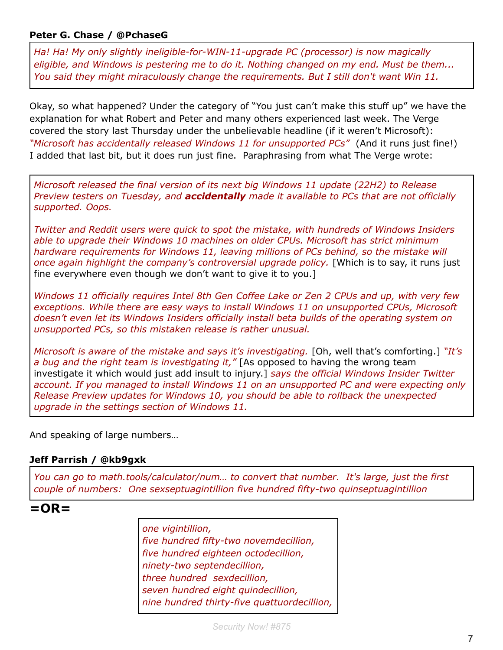#### **Peter G. Chase / @PchaseG**

*Ha! Ha! My only slightly ineligible-for-WIN-11-upgrade PC (processor) is now magically eligible, and Windows is pestering me to do it. Nothing changed on my end. Must be them... You said they might miraculously change the requirements. But I still don't want Win 11.*

Okay, so what happened? Under the category of "You just can't make this stuff up" we have the explanation for what Robert and Peter and many others experienced last week. The Verge covered the story last Thursday under the unbelievable headline (if it weren't Microsoft): *"Microsoft has accidentally released Windows 11 for unsupported PCs"* (And it runs just fine!) I added that last bit, but it does run just fine. Paraphrasing from what The Verge wrote:

*Microsoft released the final version of its next big Windows 11 update (22H2) to Release Preview testers on Tuesday, and accidentally made it available to PCs that are not officially supported. Oops.*

*Twitter and Reddit users were quick to spot the mistake, with hundreds of Windows Insiders able to upgrade their Windows 10 machines on older CPUs. Microsoft has strict minimum hardware requirements for Windows 11, leaving millions of PCs behind, so the mistake will once again highlight the company's controversial upgrade policy.* [Which is to say, it runs just fine everywhere even though we don't want to give it to you.]

*Windows 11 officially requires Intel 8th Gen Coffee Lake or Zen 2 CPUs and up, with very few exceptions. While there are easy ways to install Windows 11 on unsupported CPUs, Microsoft doesn't even let its Windows Insiders officially install beta builds of the operating system on unsupported PCs, so this mistaken release is rather unusual.*

*Microsoft is aware of the mistake and says it's investigating.* [Oh, well that's comforting.] *"It's a bug and the right team is investigating it,"* [As opposed to having the wrong team investigate it which would just add insult to injury.] *says the official Windows Insider Twitter account. If you managed to install Windows 11 on an unsupported PC and were expecting only Release Preview updates for Windows 10, you should be able to rollback the unexpected upgrade in the settings section of Windows 11.*

And speaking of large numbers…

#### **Jeff Parrish / @kb9gxk**

*You can go to math.tools/calculator/num… to convert that number. It's large, just the first couple of numbers: One sexseptuagintillion five hundred fifty-two quinseptuagintillion*

# **=OR=**

*one vigintillion, five hundred fifty-two novemdecillion, five hundred eighteen octodecillion, ninety-two septendecillion, three hundred sexdecillion, seven hundred eight quindecillion, nine hundred thirty-five quattuordecillion,*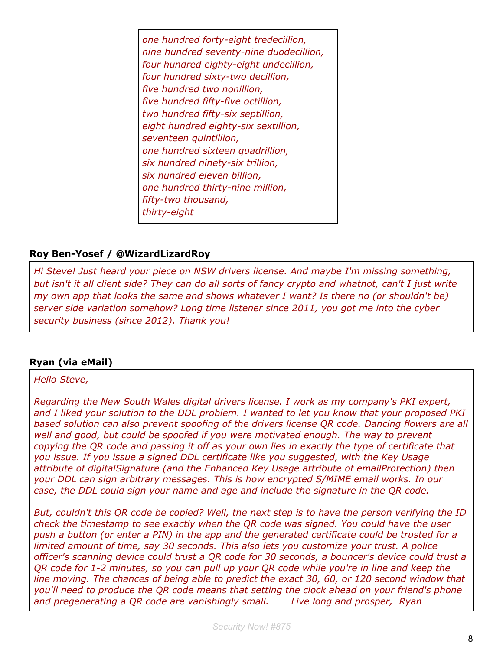*one hundred forty-eight tredecillion, nine hundred seventy-nine duodecillion, four hundred eighty-eight undecillion, four hundred sixty-two decillion, five hundred two nonillion, five hundred fifty-five octillion, two hundred fifty-six septillion, eight hundred eighty-six sextillion, seventeen quintillion, one hundred sixteen quadrillion, six hundred ninety-six trillion, six hundred eleven billion, one hundred thirty-nine million, fifty-two thousand, thirty-eight*

#### **Roy Ben-Yosef / @WizardLizardRoy**

*Hi Steve! Just heard your piece on NSW drivers license. And maybe I'm missing something, but isn't it all client side? They can do all sorts of fancy crypto and whatnot, can't I just write my own app that looks the same and shows whatever I want? Is there no (or shouldn't be) server side variation somehow? Long time listener since 2011, you got me into the cyber security business (since 2012). Thank you!*

## **Ryan (via eMail)**

#### *Hello Steve,*

*Regarding the New South Wales digital drivers license. I work as my company's PKI expert, and I liked your solution to the DDL problem. I wanted to let you know that your proposed PKI based solution can also prevent spoofing of the drivers license QR code. Dancing flowers are all well and good, but could be spoofed if you were motivated enough. The way to prevent copying the QR code and passing it off as your own lies in exactly the type of certificate that you issue. If you issue a signed DDL certificate like you suggested, with the Key Usage attribute of digitalSignature (and the Enhanced Key Usage attribute of emailProtection) then your DDL can sign arbitrary messages. This is how encrypted S/MIME email works. In our case, the DDL could sign your name and age and include the signature in the QR code.*

*But, couldn't this QR code be copied? Well, the next step is to have the person verifying the ID check the timestamp to see exactly when the QR code was signed. You could have the user push a button (or enter a PIN) in the app and the generated certificate could be trusted for a limited amount of time, say 30 seconds. This also lets you customize your trust. A police officer's scanning device could trust a QR code for 30 seconds, a bouncer's device could trust a QR code for 1-2 minutes, so you can pull up your QR code while you're in line and keep the line moving. The chances of being able to predict the exact 30, 60, or 120 second window that you'll need to produce the QR code means that setting the clock ahead on your friend's phone and pregenerating a QR code are vanishingly small. Live long and prosper, Ryan*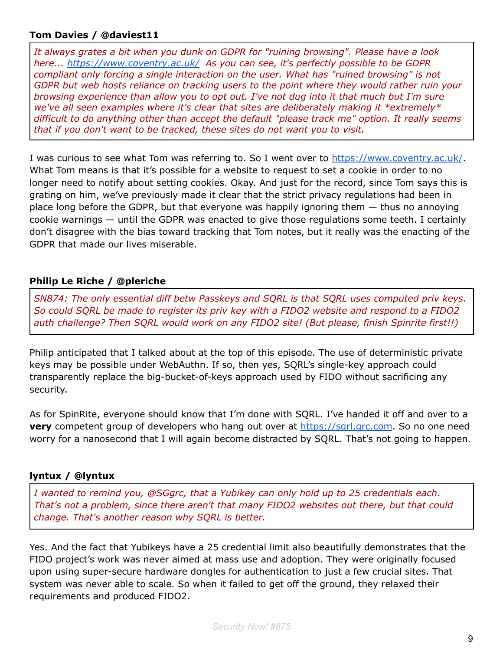#### **Tom Davies / @daviest11**

*It always grates a bit when you dunk on GDPR for "ruining browsing". Please have a look here... <https://www.coventry.ac.uk/> As you can see, it's perfectly possible to be GDPR compliant only forcing a single interaction on the user. What has "ruined browsing" is not GDPR but web hosts reliance on tracking users to the point where they would rather ruin your browsing experience than allow you to opt out. I've not dug into it that much but I'm sure we've all seen examples where it's clear that sites are deliberately making it \*extremely\* difficult to do anything other than accept the default "please track me" option. It really seems that if you don't want to be tracked, these sites do not want you to visit.*

I was curious to see what Tom was referring to. So I went over to <https://www.coventry.ac.uk/>. What Tom means is that it's possible for a website to request to set a cookie in order to no longer need to notify about setting cookies. Okay. And just for the record, since Tom says this is grating on him, we've previously made it clear that the strict privacy regulations had been in place long before the GDPR, but that everyone was happily ignoring them — thus no annoying cookie warnings — until the GDPR was enacted to give those regulations some teeth. I certainly don't disagree with the bias toward tracking that Tom notes, but it really was the enacting of the GDPR that made our lives miserable.

#### **Philip Le Riche / @pleriche**

*SN874: The only essential diff betw Passkeys and SQRL is that SQRL uses computed priv keys. So could SQRL be made to register its priv key with a FIDO2 website and respond to a FIDO2 auth challenge? Then SQRL would work on any FIDO2 site! (But please, finish Spinrite first!!)*

Philip anticipated that I talked about at the top of this episode. The use of deterministic private keys may be possible under WebAuthn. If so, then yes, SQRL's single-key approach could transparently replace the big-bucket-of-keys approach used by FIDO without sacrificing any security.

As for SpinRite, everyone should know that I'm done with SQRL. I've handed it off and over to a **very** competent group of developers who hang out over at [https://sqrl.grc.com.](https://sqrl.grc.com) So no one need worry for a nanosecond that I will again become distracted by SQRL. That's not going to happen.

#### **lyntux / @lyntux**

*I wanted to remind you, @SGgrc, that a Yubikey can only hold up to 25 credentials each. That's not a problem, since there aren't that many FIDO2 websites out there, but that could change. That's another reason why SQRL is better.*

Yes. And the fact that Yubikeys have a 25 credential limit also beautifully demonstrates that the FIDO project's work was never aimed at mass use and adoption. They were originally focused upon using super-secure hardware dongles for authentication to just a few crucial sites. That system was never able to scale. So when it failed to get off the ground, they relaxed their requirements and produced FIDO2.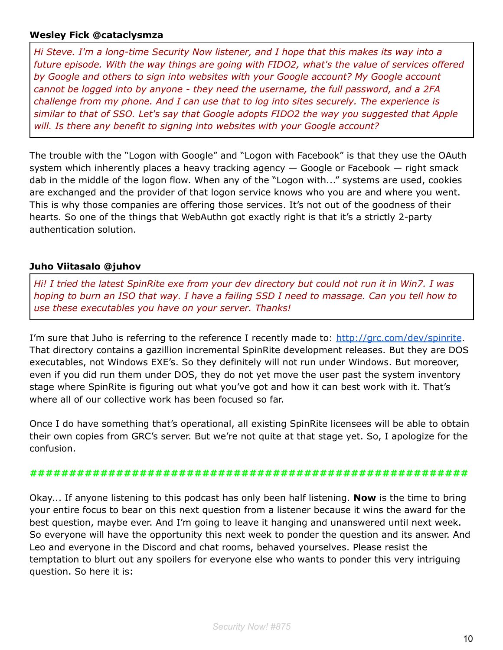#### **Wesley Fick @cataclysmza**

*Hi Steve. I'm a long-time Security Now listener, and I hope that this makes its way into a future episode. With the way things are going with FIDO2, what's the value of services offered by Google and others to sign into websites with your Google account? My Google account cannot be logged into by anyone - they need the username, the full password, and a 2FA challenge from my phone. And I can use that to log into sites securely. The experience is similar to that of SSO. Let's say that Google adopts FIDO2 the way you suggested that Apple will. Is there any benefit to signing into websites with your Google account?*

The trouble with the "Logon with Google" and "Logon with Facebook" is that they use the OAuth system which inherently places a heavy tracking agency  $-$  Google or Facebook  $-$  right smack dab in the middle of the logon flow. When any of the "Logon with..." systems are used, cookies are exchanged and the provider of that logon service knows who you are and where you went. This is why those companies are offering those services. It's not out of the goodness of their hearts. So one of the things that WebAuthn got exactly right is that it's a strictly 2-party authentication solution.

#### **Juho Viitasalo @juhov**

*Hi! I tried the latest SpinRite exe from your dev directory but could not run it in Win7. I was hoping to burn an ISO that way. I have a failing SSD I need to massage. Can you tell how to use these executables you have on your server. Thanks!*

I'm sure that Juho is referring to the reference I recently made to: <http://grc.com/dev/spinrite>. That directory contains a gazillion incremental SpinRite development releases. But they are DOS executables, not Windows EXE's. So they definitely will not run under Windows. But moreover, even if you did run them under DOS, they do not yet move the user past the system inventory stage where SpinRite is figuring out what you've got and how it can best work with it. That's where all of our collective work has been focused so far.

Once I do have something that's operational, all existing SpinRite licensees will be able to obtain their own copies from GRC's server. But we're not quite at that stage yet. So, I apologize for the confusion.

#### **########################################################**

Okay... If anyone listening to this podcast has only been half listening. **Now** is the time to bring your entire focus to bear on this next question from a listener because it wins the award for the best question, maybe ever. And I'm going to leave it hanging and unanswered until next week. So everyone will have the opportunity this next week to ponder the question and its answer. And Leo and everyone in the Discord and chat rooms, behaved yourselves. Please resist the temptation to blurt out any spoilers for everyone else who wants to ponder this very intriguing question. So here it is: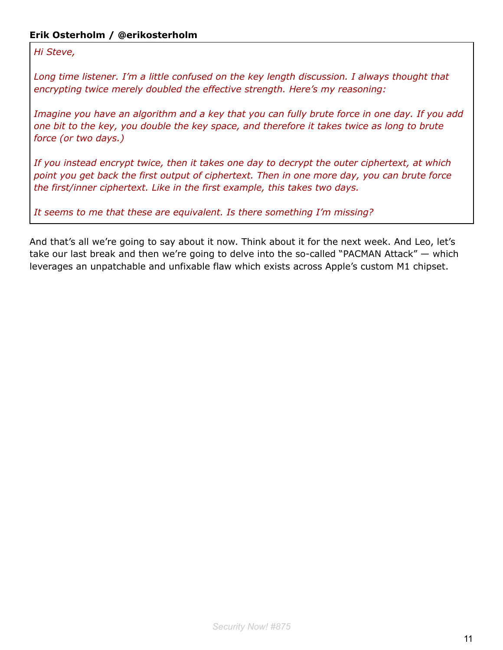### **Erik Osterholm / @erikosterholm**

*Hi Steve,*

*Long time listener. I'm a little confused on the key length discussion. I always thought that encrypting twice merely doubled the effective strength. Here's my reasoning:*

*Imagine you have an algorithm and a key that you can fully brute force in one day. If you add one bit to the key, you double the key space, and therefore it takes twice as long to brute force (or two days.)*

*If you instead encrypt twice, then it takes one day to decrypt the outer ciphertext, at which point you get back the first output of ciphertext. Then in one more day, you can brute force the first/inner ciphertext. Like in the first example, this takes two days.*

*It seems to me that these are equivalent. Is there something I'm missing?*

And that's all we're going to say about it now. Think about it for the next week. And Leo, let's take our last break and then we're going to delve into the so-called "PACMAN Attack" — which leverages an unpatchable and unfixable flaw which exists across Apple's custom M1 chipset.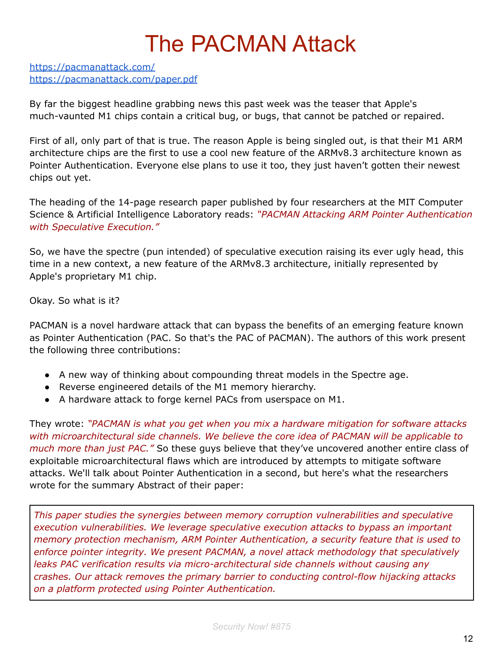# The PACMAN Attack

<https://pacmanattack.com/> <https://pacmanattack.com/paper.pdf>

By far the biggest headline grabbing news this past week was the teaser that Apple's much-vaunted M1 chips contain a critical bug, or bugs, that cannot be patched or repaired.

First of all, only part of that is true. The reason Apple is being singled out, is that their M1 ARM architecture chips are the first to use a cool new feature of the ARMv8.3 architecture known as Pointer Authentication. Everyone else plans to use it too, they just haven't gotten their newest chips out yet.

The heading of the 14-page research paper published by four researchers at the MIT Computer Science & Artificial Intelligence Laboratory reads: *"PACMAN Attacking ARM Pointer Authentication with Speculative Execution."*

So, we have the spectre (pun intended) of speculative execution raising its ever ugly head, this time in a new context, a new feature of the ARMv8.3 architecture, initially represented by Apple's proprietary M1 chip.

Okay. So what is it?

PACMAN is a novel hardware attack that can bypass the benefits of an emerging feature known as Pointer Authentication (PAC. So that's the PAC of PACMAN). The authors of this work present the following three contributions:

- A new way of thinking about compounding threat models in the Spectre age.
- Reverse engineered details of the M1 memory hierarchy.
- A hardware attack to forge kernel PACs from userspace on M1.

They wrote: *"PACMAN is what you get when you mix a hardware mitigation for software attacks with microarchitectural side channels. We believe the core idea of PACMAN will be applicable to much more than just PAC.*" So these guys believe that they've uncovered another entire class of exploitable microarchitectural flaws which are introduced by attempts to mitigate software attacks. We'll talk about Pointer Authentication in a second, but here's what the researchers wrote for the summary Abstract of their paper:

*This paper studies the synergies between memory corruption vulnerabilities and speculative execution vulnerabilities. We leverage speculative execution attacks to bypass an important memory protection mechanism, ARM Pointer Authentication, a security feature that is used to enforce pointer integrity. We present PACMAN, a novel attack methodology that speculatively leaks PAC verification results via micro-architectural side channels without causing any crashes. Our attack removes the primary barrier to conducting control-flow hijacking attacks on a platform protected using Pointer Authentication.*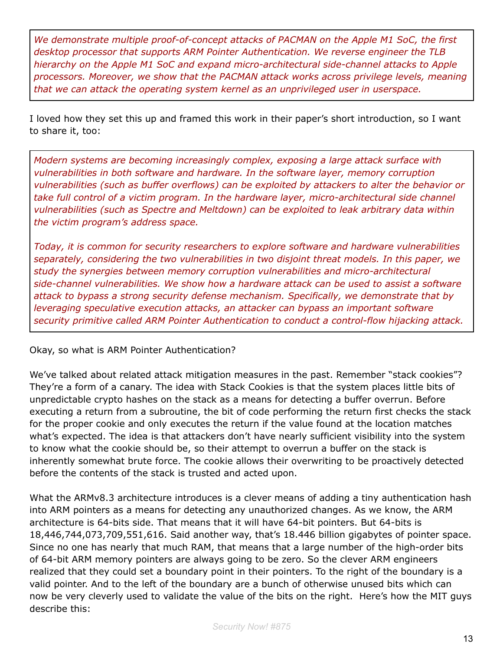*We demonstrate multiple proof-of-concept attacks of PACMAN on the Apple M1 SoC, the first desktop processor that supports ARM Pointer Authentication. We reverse engineer the TLB hierarchy on the Apple M1 SoC and expand micro-architectural side-channel attacks to Apple processors. Moreover, we show that the PACMAN attack works across privilege levels, meaning that we can attack the operating system kernel as an unprivileged user in userspace.*

I loved how they set this up and framed this work in their paper's short introduction, so I want to share it, too:

*Modern systems are becoming increasingly complex, exposing a large attack surface with vulnerabilities in both software and hardware. In the software layer, memory corruption vulnerabilities (such as buffer overflows) can be exploited by attackers to alter the behavior or take full control of a victim program. In the hardware layer, micro-architectural side channel vulnerabilities (such as Spectre and Meltdown) can be exploited to leak arbitrary data within the victim program's address space.*

*Today, it is common for security researchers to explore software and hardware vulnerabilities separately, considering the two vulnerabilities in two disjoint threat models. In this paper, we study the synergies between memory corruption vulnerabilities and micro-architectural side-channel vulnerabilities. We show how a hardware attack can be used to assist a software attack to bypass a strong security defense mechanism. Specifically, we demonstrate that by leveraging speculative execution attacks, an attacker can bypass an important software security primitive called ARM Pointer Authentication to conduct a control-flow hijacking attack.*

Okay, so what is ARM Pointer Authentication?

We've talked about related attack mitigation measures in the past. Remember "stack cookies"? They're a form of a canary. The idea with Stack Cookies is that the system places little bits of unpredictable crypto hashes on the stack as a means for detecting a buffer overrun. Before executing a return from a subroutine, the bit of code performing the return first checks the stack for the proper cookie and only executes the return if the value found at the location matches what's expected. The idea is that attackers don't have nearly sufficient visibility into the system to know what the cookie should be, so their attempt to overrun a buffer on the stack is inherently somewhat brute force. The cookie allows their overwriting to be proactively detected before the contents of the stack is trusted and acted upon.

What the ARMv8.3 architecture introduces is a clever means of adding a tiny authentication hash into ARM pointers as a means for detecting any unauthorized changes. As we know, the ARM architecture is 64-bits side. That means that it will have 64-bit pointers. But 64-bits is 18,446,744,073,709,551,616. Said another way, that's 18.446 billion gigabytes of pointer space. Since no one has nearly that much RAM, that means that a large number of the high-order bits of 64-bit ARM memory pointers are always going to be zero. So the clever ARM engineers realized that they could set a boundary point in their pointers. To the right of the boundary is a valid pointer. And to the left of the boundary are a bunch of otherwise unused bits which can now be very cleverly used to validate the value of the bits on the right. Here's how the MIT guys describe this: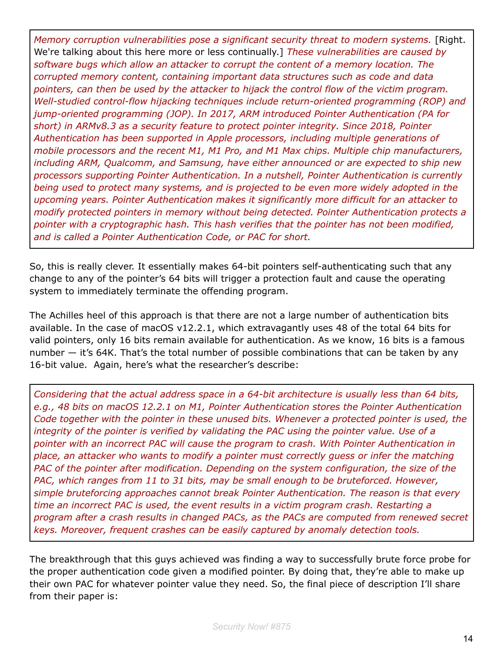*Memory corruption vulnerabilities pose a significant security threat to modern systems.* [Right. We're talking about this here more or less continually.] *These vulnerabilities are caused by software bugs which allow an attacker to corrupt the content of a memory location. The corrupted memory content, containing important data structures such as code and data pointers, can then be used by the attacker to hijack the control flow of the victim program. Well-studied control-flow hijacking techniques include return-oriented programming (ROP) and jump-oriented programming (JOP). In 2017, ARM introduced Pointer Authentication (PA for short) in ARMv8.3 as a security feature to protect pointer integrity. Since 2018, Pointer Authentication has been supported in Apple processors, including multiple generations of mobile processors and the recent M1, M1 Pro, and M1 Max chips. Multiple chip manufacturers, including ARM, Qualcomm, and Samsung, have either announced or are expected to ship new processors supporting Pointer Authentication. In a nutshell, Pointer Authentication is currently being used to protect many systems, and is projected to be even more widely adopted in the upcoming years. Pointer Authentication makes it significantly more difficult for an attacker to modify protected pointers in memory without being detected. Pointer Authentication protects a pointer with a cryptographic hash. This hash verifies that the pointer has not been modified, and is called a Pointer Authentication Code, or PAC for short.*

So, this is really clever. It essentially makes 64-bit pointers self-authenticating such that any change to any of the pointer's 64 bits will trigger a protection fault and cause the operating system to immediately terminate the offending program.

The Achilles heel of this approach is that there are not a large number of authentication bits available. In the case of macOS v12.2.1, which extravagantly uses 48 of the total 64 bits for valid pointers, only 16 bits remain available for authentication. As we know, 16 bits is a famous number — it's 64K. That's the total number of possible combinations that can be taken by any 16-bit value. Again, here's what the researcher's describe:

*Considering that the actual address space in a 64-bit architecture is usually less than 64 bits, e.g., 48 bits on macOS 12.2.1 on M1, Pointer Authentication stores the Pointer Authentication Code together with the pointer in these unused bits. Whenever a protected pointer is used, the integrity of the pointer is verified by validating the PAC using the pointer value. Use of a pointer with an incorrect PAC will cause the program to crash. With Pointer Authentication in place, an attacker who wants to modify a pointer must correctly guess or infer the matching PAC of the pointer after modification. Depending on the system configuration, the size of the PAC, which ranges from 11 to 31 bits, may be small enough to be bruteforced. However, simple bruteforcing approaches cannot break Pointer Authentication. The reason is that every time an incorrect PAC is used, the event results in a victim program crash. Restarting a program after a crash results in changed PACs, as the PACs are computed from renewed secret keys. Moreover, frequent crashes can be easily captured by anomaly detection tools.*

The breakthrough that this guys achieved was finding a way to successfully brute force probe for the proper authentication code given a modified pointer. By doing that, they're able to make up their own PAC for whatever pointer value they need. So, the final piece of description I'll share from their paper is: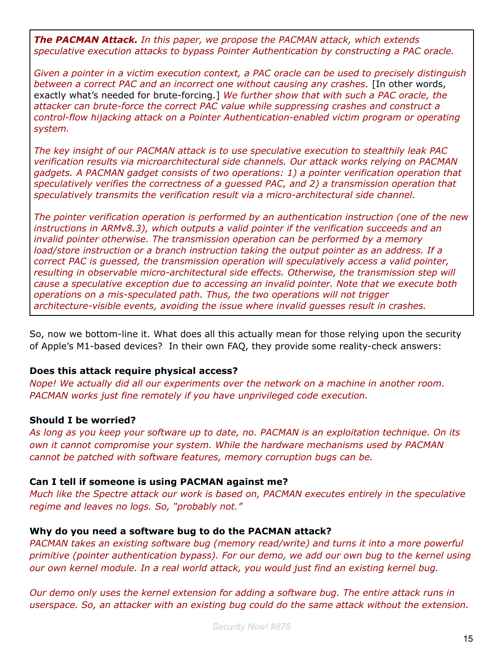*The PACMAN Attack. In this paper, we propose the PACMAN attack, which extends speculative execution attacks to bypass Pointer Authentication by constructing a PAC oracle.*

*Given a pointer in a victim execution context, a PAC oracle can be used to precisely distinguish between a correct PAC and an incorrect one without causing any crashes.* [In other words, exactly what's needed for brute-forcing.] *We further show that with such a PAC oracle, the attacker can brute-force the correct PAC value while suppressing crashes and construct a control-flow hijacking attack on a Pointer Authentication-enabled victim program or operating system.*

*The key insight of our PACMAN attack is to use speculative execution to stealthily leak PAC verification results via microarchitectural side channels. Our attack works relying on PACMAN gadgets. A PACMAN gadget consists of two operations: 1) a pointer verification operation that speculatively verifies the correctness of a guessed PAC, and 2) a transmission operation that speculatively transmits the verification result via a micro-architectural side channel.*

*The pointer verification operation is performed by an authentication instruction (one of the new instructions in ARMv8.3), which outputs a valid pointer if the verification succeeds and an invalid pointer otherwise. The transmission operation can be performed by a memory load/store instruction or a branch instruction taking the output pointer as an address. If a correct PAC is guessed, the transmission operation will speculatively access a valid pointer, resulting in observable micro-architectural side effects. Otherwise, the transmission step will cause a speculative exception due to accessing an invalid pointer. Note that we execute both operations on a mis-speculated path. Thus, the two operations will not trigger architecture-visible events, avoiding the issue where invalid guesses result in crashes.*

So, now we bottom-line it. What does all this actually mean for those relying upon the security of Apple's M1-based devices? In their own FAQ, they provide some reality-check answers:

#### **Does this attack require physical access?**

*Nope! We actually did all our experiments over the network on a machine in another room. PACMAN works just fine remotely if you have unprivileged code execution.*

#### **Should I be worried?**

*As long as you keep your software up to date, no. PACMAN is an exploitation technique. On its own it cannot compromise your system. While the hardware mechanisms used by PACMAN cannot be patched with software features, memory corruption bugs can be.*

#### **Can I tell if someone is using PACMAN against me?**

*Much like the Spectre attack our work is based on, PACMAN executes entirely in the speculative regime and leaves no logs. So, "probably not."*

#### **Why do you need a software bug to do the PACMAN attack?**

*PACMAN takes an existing software bug (memory read/write) and turns it into a more powerful primitive (pointer authentication bypass). For our demo, we add our own bug to the kernel using our own kernel module. In a real world attack, you would just find an existing kernel bug.*

*Our demo only uses the kernel extension for adding a software bug. The entire attack runs in userspace. So, an attacker with an existing bug could do the same attack without the extension.*